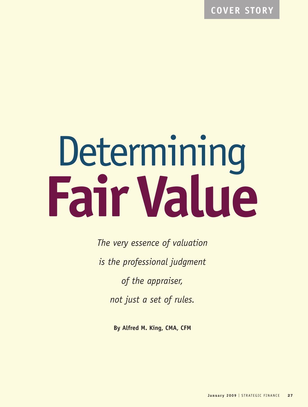**COVER STORY**

# Determining **FairValue**

*The very essence of valuation is the professional judgment of the appraiser, not just a set of rules.*

**By Alfred M. King, CMA, CFM**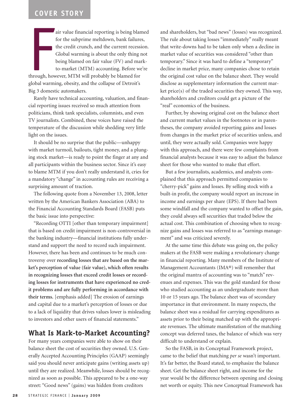## **COVER STORY**

Francisco Caracteria<br>Francisco Caracteria<br>Francisco Caracteria<br>Francisco Caracteria air value financial reporting is being blamed for the subprime meltdown, bank failures, the credit crunch, and the current recession. Global warming is about the only thing not being blamed on fair value (FV) and markto-market (MTM) accounting. Before we're through, however, MTM will probably be blamed for global warming, obesity, and the collapse of Detroit's Big 3 domestic automakers.

Rarely have technical accounting, valuation, and financial reporting issues received so much attention from politicians, think tank specialists, columnists, and even TV journalists. Combined, these voices have raised the temperature of the discussion while shedding very little light on the issues.

It should be no surprise that the public—unhappy with market turmoil, bailouts, tight money, and a plunging stock market—is ready to point the finger at any and all participants within the business sector. Since it's easy to blame MTM if you don't really understand it, cries for a mandatory "change" in accounting rules are receiving a surprising amount of traction.

The following quote from a November 13, 2008, letter written by the American Bankers Association (ABA) to the Financial Accounting Standards Board (FASB) puts the basic issue into perspective:

"Recording OTTI [other than temporary impairment] that is based on credit impairment is non-controversial in the banking industry—financial institutions fully understand and support the need to record such impairment. However, there has been and continues to be much controversy over **recording losses that are based on the market's perception of value (fair value), which often results in recognizing losses that exceed credit losses or recording losses for instruments that have experienced no credit problems and are fully performing in accordance with their terms.** [emphasis added] The erosion of earnings and capital due to a market's perception of losses or due to a lack of liquidity that drives values lower is misleading to investors and other users of financial statements."

#### **What Is Mark-to-Market Accounting?**

For many years companies were able to show on their balance sheet the cost of securities they owned. U.S. Generally Accepted Accounting Principles (GAAP) seemingly said you should never anticipate gains (writing assets up) until they are realized. Meanwhile, losses should be recognized as soon as possible. This appeared to be a one-way street: "Good news" (gains) was hidden from creditors

and shareholders, but "bad news" (losses) was recognized. The rule about taking losses "immediately" really meant that write-downs had to be taken only when a decline in market value of securities was considered "other than temporary." Since it was hard to define a "temporary" decline in market price, many companies chose to retain the original cost value on the balance sheet. They would disclose as supplementary information the current market price(s) of the traded securities they owned. This way, shareholders and creditors could get a picture of the "real" economics of the business.

Further, by showing original cost on the balance sheet and current market values in the footnotes or in parentheses, the company avoided reporting gains and losses from changes in the market price of securities unless, and until, they were actually sold. Companies were happy with this approach, and there were few complaints from financial analysts because it was easy to adjust the balance sheet for those who wanted to make that effort.

But a few journalists, academics, and analysts complained that this approach permitted companies to "cherry-pick" gains and losses. By selling stock with a built-in profit, the company would report an increase in income and earnings per share (EPS). If there had been some windfall and the company wanted to offset the gain, they could always sell securities that traded below the actual cost. This combination of choosing when to recognize gains and losses was referred to as "earnings management" and was criticized severely.

At the same time this debate was going on, the policy makers at the FASB were making a revolutionary change in financial reporting. Many members of the Institute of Management Accountants (IMA®) will remember that the original mantra of accounting was to "match" revenues and expenses. This was the gold standard for those who studied accounting as an undergraduate more than 10 or 15 years ago. The balance sheet was of secondary importance in that environment. In many respects, the balance sheet was a residual for carrying expenditures as assets prior to their being matched up with the appropriate revenues. The ultimate manifestation of the matching concept was deferred taxes, the balance of which was very difficult to understand or explain.

So the FASB, in its Conceptual Framework project, came to the belief that matching *per se* wasn't important. It's far better, the Board stated, to emphasize the balance sheet. Get the balance sheet right, and income for the year would be the difference between opening and closing net worth or equity. This new Conceptual Framework has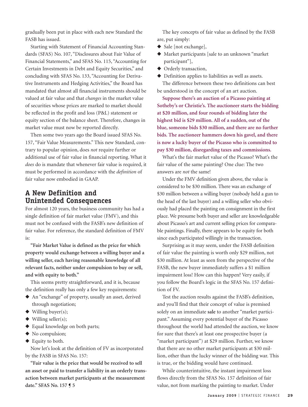gradually been put in place with each new Standard the FASB has issued.

Starting with Statement of Financial Accounting Standards (SFAS) No. 107, "Disclosures about Fair Value of Financial Statements," and SFAS No. 115, "Accounting for Certain Investments in Debt and Equity Securities," and concluding with SFAS No. 133, "Accounting for Derivative Instruments and Hedging Activities," the Board has mandated that almost all financial instruments should be valued at fair value and that *changes* in the market value of securities whose prices are marked to market should be reflected in the profit and loss (P&L) statement or equity section of the balance sheet. Therefore, changes in market value must now be reported directly.

Then some two years ago the Board issued SFAS No. 157, "Fair Value Measurements." This new Standard, contrary to popular opinion, does *not* require further or additional use of fair value in financial reporting. What it *does* do is mandate that whenever fair value is required, it must be performed in accordance with the *definition* of fair value now embodied in GAAP.

#### **A New Definition and Unintended Consequences**

For almost 120 years, the business community has had a single definition of fair market value (FMV), and this must not be confused with the FASB's new definition of fair value. For reference, the standard definition of FMV is:

**"Fair Market Value is defined as the price for which property would exchange between a willing buyer and a willing seller, each having reasonable knowledge of all relevant facts, neither under compulsion to buy or sell, and with equity to both."**

This seems pretty straightforward, and it is, because the definition really has only a few key requirements:

- ◆ An "exchange" of property, usually an asset, derived through negotiation;
- ◆ Willing buyer(s);
- $\blacklozenge$  Willing seller(s);
- ◆ Equal knowledge on both parts;
- ◆ No compulsion;
- ◆ Equity to both.

Now let's look at the definition of FV as incorporated by the FASB in SFAS No. 157:

**"Fair value is the price that would be received to sell an asset or paid to transfer a liability in an orderly transaction between market participants at the measurement date." SFAS No. 157 ¶ 5**

The key concepts of fair value as defined by the FASB are, put simply:

- ◆ Sale [not exchange],
- ◆ Market participants [sale to an unknown "market participant"],
- ◆ Orderly transaction,
- ◆ Definition applies to liabilities as well as assets. The difference between these two definitions can best

be understood in the concept of an art auction.

**Suppose there's an auction of a Picasso painting at Sotheby's or Christie's. The auctioneer starts the bidding at \$20 million, and four rounds of bidding later the highest bid is \$29 million. All of a sudden, out of the blue, someone bids \$30 million, and there are no further bids. The auctioneer hammers down his gavel, and there is now a lucky buyer of the Picasso who is committed to pay \$30 million, disregarding taxes and commissions.**

What's the fair market value of the Picasso? What's the fair value of the same painting? One clue: The two answers are *not* the same!

Under the FMV definition given above, the value is considered to be \$30 million. There was an exchange of \$30 million between a willing buyer (nobody held a gun to the head of the last buyer) and a willing seller who obviously had placed the painting on consignment in the first place. We presume both buyer and seller are knowledgeable about Picasso's art and current selling prices for comparable paintings. Finally, there appears to be equity for both since each participated willingly in the transaction.

Surprising as it may seem, under the FASB definition of fair value the painting is worth only \$29 million, not \$30 million. At least as seen from the perspective of the FASB, the new buyer immediately suffers a \$1 million impairment loss! How can this happen? Very easily, if you follow the Board's logic in the SFAS No. 157 definition of FV.

Test the auction results against the FASB's definition, and you'll find that their concept of value is premised solely on an immediate **sale** to another "market participant." Assuming every potential buyer of the Picasso throughout the world had attended the auction, we know for sure that there's at least one prospective buyer (a "market participant") at \$29 million. Further, we know that there are no other market participants at \$30 million, other than the lucky winner of the bidding war. This is true, or the bidding would have continued.

While counterintuitive, the instant impairment loss flows directly from the SFAS No. 157 definition of fair value, not from marking the painting to market. Under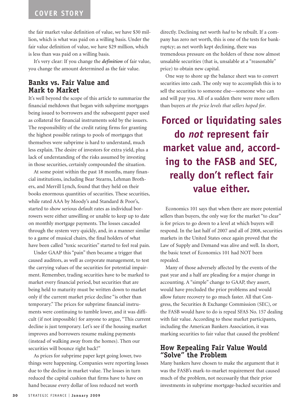#### **COVER STORY**

the fair market value definition of value, we have \$30 million, which is what was paid on a willing basis. Under the fair value definition of value, we have \$29 million, which is less than was paid on a willing basis.

It's very clear: If you change the *definition* of fair value, you change the amount determined as the fair value.

#### **Banks vs. Fair Value and Mark to Market**

It's well beyond the scope of this article to summarize the financial meltdown that began with subprime mortgages being issued to borrowers and the subsequent paper used as collateral for financial instruments sold by the issuers. The responsibility of the credit rating firms for granting the highest possible ratings to pools of mortgages that themselves were subprime is hard to understand, much less explain. The desire of investors for extra yield, plus a lack of understanding of the risks assumed by investing in those securities, certainly compounded the situation.

At some point within the past 18 months, many financial institutions, including Bear Stearns, Lehman Brothers, and Merrill Lynch, found that they held on their books enormous quantities of securities. These securities, while rated AAA by Moody's and Standard & Poor's, started to show serious default rates as individual borrowers were either unwilling or unable to keep up to date on monthly mortgage payments. The losses cascaded through the system very quickly, and, in a manner similar to a game of musical chairs, the final holders of what have been called "toxic securities" started to feel real pain.

Under GAAP this "pain" then became a trigger that caused auditors, as well as corporate management, to test the carrying values of the securities for potential impairment. Remember, trading securities have to be marked to market every financial period, but securities that are being held to maturity must be written down to market only if the current market price decline "is other than temporary." The prices for subprime financial instruments were continuing to tumble lower, and it was difficult (if not impossible) for anyone to argue, "This current decline is just temporary. Let's see if the housing market improves and borrowers resume making payments (instead of walking away from the homes). Then our securities will bounce right back!"

As prices for subprime paper kept going lower, two things were happening. Companies were reporting losses due to the decline in market value. The losses in turn reduced the capital cushion that firms have to have on hand because every dollar of loss reduced net worth

directly. Declining net worth *had* to be rebuilt. If a company has zero net worth, this is one of the tests for bankruptcy; as net worth kept declining, there was tremendous pressure on the holders of these now almost unsalable securities (that is, unsalable at a "reasonable" price) to obtain new capital.

One way to shore up the balance sheet was to convert securities into cash. The only way to accomplish this is to sell the securities to someone else—someone who can and will pay you. All of a sudden there were more sellers than buyers *at the price levels that sellers hoped for*.

# **Forced or liquidating sales do** *not* **represent fair market value and, according to the FASB and SEC, really don't reflect fair value either.**

Economics 101 says that when there are more potential sellers than buyers, the only way for the market "to clear" is for prices to go down to a level at which buyers will respond. In the last half of 2007 and all of 2008, securities markets in the United States once again proved that the Law of Supply and Demand was alive and well. In short, the basic tenet of Economics 101 had NOT been repealed.

Many of those adversely affected by the events of the past year and a half are pleading for a major change in accounting. A "simple" change to GAAP, they assert, would have precluded the prior problems and would allow future recovery to go much faster. All that Congress, the Securities & Exchange Commission (SEC), or the FASB would have to do is repeal SFAS No. 157 dealing with fair value. According to these market participants, including the American Bankers Association, it was marking securities to fair value that caused the problem!

#### **How Repealing Fair Value Would "Solve" the Problem**

Many bankers have chosen to make the argument that it was the FASB's mark-to-market requirement that caused much of the problem, not necessarily that their prior investments in subprime mortgage-backed securities and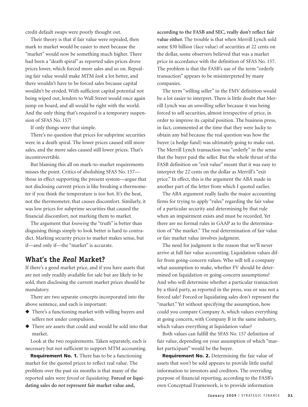credit default swaps were poorly thought out.

Their theory is that if fair value were repealed, then mark to market would be easier to meet because the "market" would now be something much higher. There had been a "death spiral" as reported sales prices drove prices lower, which forced more sales and so on. Repealing fair value would make MTM *look* a lot better, and there wouldn't have to be forced sales because capital wouldn't be eroded. With sufficient capital potential not being wiped out, lenders to Wall Street would once again jump on board, and all would be right with the world. And the only thing that's required is a temporary suspension of SFAS No. 157!

If only things were that simple.

There's no question that prices for subprime securities were in a death spiral. The lower prices caused still more sales, and the more sales caused still lower prices. That's incontrovertible.

But blaming this all on mark-to-market requirements misses the point. Critics of abolishing SFAS No. 157 those in effect supporting the present system—argue that not disclosing current prices is like breaking a thermometer if you think the temperature is too hot. It's the heat, not the thermometer, that causes discomfort. Similarly, it was low prices for subprime securities that caused the financial discomfort, not marking them to market.

The argument that *knowing* the "truth" is better than disguising things simply to look better is hard to contradict. Marking security prices to market makes sense, but if—and only if—the "market" is accurate.

#### **What's the** *Real* **Market?**

If there's a good market price, and if you have assets that are not only readily available for sale but are likely to be sold, then disclosing the current market prices should be mandatory.

There are two separate concepts incorporated into the above sentence, and each is important:

- ◆ There's a functioning market with willing buyers and sellers not under compulsion.
- ◆ There are assets that could and would be sold into that market.

Look at the two requirements. Taken separately, each is necessary but not sufficient to support MTM accounting.

**Requirement No. 1.** There has to be a functioning market for the quoted prices to reflect real value. The problem over the past six months is that many of the reported sales were *forced* or *liquidating*. **Forced or liquidating sales do** *not* **represent fair market value and,**

**according to the FASB and SEC, really don't reflect fair value either.** The trouble is that when Merrill Lynch sold some \$30 billion (face value) of securities at 22 cents on the dollar, some observers believed that was a market price in accordance with the definition of SFAS No. 157. The problem is that the FASB's use of the term "orderly transaction" appears to be misinterpreted by many companies.

The term "willing seller" in the FMV definition would be a lot easier to interpret. There is little doubt that Merrill Lynch was an *unwilling* seller because it was being forced to sell securities, almost irrespective of price, in order to improve its capital position. The business press, in fact, commented at the time that they were lucky to obtain any bid because the real question was how the buyer (a hedge fund) was ultimately going to make out. The Merrill Lynch transaction was "orderly" in the sense that the buyer paid the seller. But the whole thrust of the FASB definition on "exit value" meant that it was easy to interpret the 22 cents on the dollar as Merrill's "exit price." In effect, this is the argument the ABA made in another part of the letter from which I quoted earlier.

The ABA argument really faults the major accounting firms for trying to apply "rules" regarding the fair value of a particular security and determining by that rule when an impairment exists and must be recorded. Yet there are no formal rules in GAAP as to the determination of "the market." The real determination of fair value or fair market value involves judgment.

The need for judgment is the reason that we'll never arrive at full fair value accounting. Liquidation values differ from going-concern values. Who will tell a company what assumption to make, whether FV should be determined on liquidation or going-concern assumptions? And who will determine whether a particular transaction by a third party, as reported in the press, was or was not a forced sale? Forced or liquidating sales don't represent the "market." Yet without specifying the assumption, how could you compare Company A, which values everything at going concern, with Company B in the same industry, which values everything at liquidation value?

Both values can fulfill the SFAS No. 157 definition of fair value, depending on your assumption of which "market participant" would be the buyer.

**Requirement No. 2.** Determining the fair value of assets that *won't* be sold appears to provide little useful information to investors and creditors. The overriding purpose of financial reporting, according to the FASB's own Conceptual Framework, is to provide information